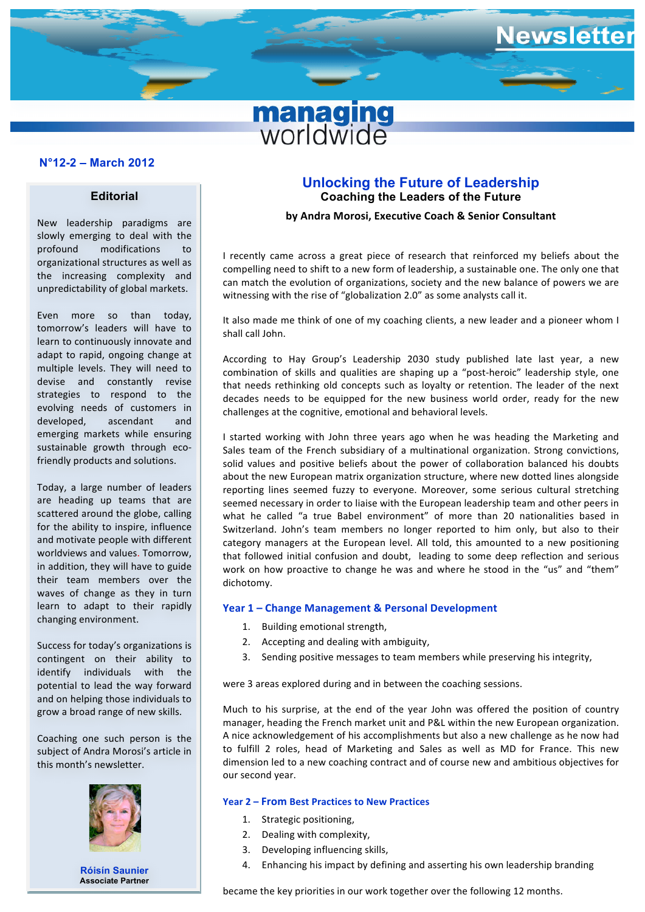

# **N°11-7 – December 2011 N°12-2 – March 2012**

# **Editorial**

New leadership paradigms are slowly emerging to deal with the profound modifications to organizational structures as well as the increasing complexity and unpredictability of global markets.

Even more so than today. tomorrow's leaders will have to learn to continuously innovate and adapt to rapid, ongoing change at multiple levels. They will need to devise and constantly revise strategies to respond to the evolving needs of customers in developed, ascendant and emerging markets while ensuring sustainable growth through ecofriendly products and solutions.

Today, a large number of leaders are heading up teams that are scattered around the globe, calling for the ability to inspire, influence and motivate people with different worldviews and values. Tomorrow, in addition, they will have to guide their team members over the waves of change as they in turn learn to adapt to their rapidly changing environment.

Success for today's organizations is contingent on their ability to identify individuals with the potential to lead the way forward and on helping those individuals to grow a broad range of new skills.

Coaching one such person is the subject of Andra Morosi's article in this month's newsletter.



**Róisín Saunier Associate Partner**

# **Unlocking the Future of Leadership Coaching the Leaders of the Future**

#### **by Andra Morosi, Executive Coach & Senior Consultant**

I recently came across a great piece of research that reinforced my beliefs about the compelling need to shift to a new form of leadership, a sustainable one. The only one that can match the evolution of organizations, society and the new balance of powers we are witnessing with the rise of "globalization 2.0" as some analysts call it.

It also made me think of one of my coaching clients, a new leader and a pioneer whom I shall call John.

According to Hay Group's Leadership 2030 study published late last year, a new combination of skills and qualities are shaping up a "post-heroic" leadership style, one that needs rethinking old concepts such as loyalty or retention. The leader of the next decades needs to be equipped for the new business world order, ready for the new challenges at the cognitive, emotional and behavioral levels.

I started working with John three years ago when he was heading the Marketing and Sales team of the French subsidiary of a multinational organization. Strong convictions, solid values and positive beliefs about the power of collaboration balanced his doubts about the new European matrix organization structure, where new dotted lines alongside reporting lines seemed fuzzy to everyone. Moreover, some serious cultural stretching seemed necessary in order to liaise with the European leadership team and other peers in what he called "a true Babel environment" of more than 20 nationalities based in Switzerland. John's team members no longer reported to him only, but also to their category managers at the European level. All told, this amounted to a new positioning that followed initial confusion and doubt, leading to some deep reflection and serious work on how proactive to change he was and where he stood in the "us" and "them" dichotomy. 

# Year 1 - Change Management & Personal Development

- 1. Building emotional strength,
- 2. Accepting and dealing with ambiguity.
- Sending positive messages to team members while preserving his integrity,

were 3 areas explored during and in between the coaching sessions.

Much to his surprise, at the end of the year John was offered the position of country manager, heading the French market unit and P&L within the new European organization. A nice acknowledgement of his accomplishments but also a new challenge as he now had to fulfill 2 roles, head of Marketing and Sales as well as MD for France. This new dimension led to a new coaching contract and of course new and ambitious objectives for our second year.

### **Year 2 – From Best Practices to New Practices**

- 1. Strategic positioning,
- 2. Dealing with complexity,
- 3. Developing influencing skills,
- 4. Enhancing his impact by defining and asserting his own leadership branding

became the key priorities in our work together over the following 12 months.